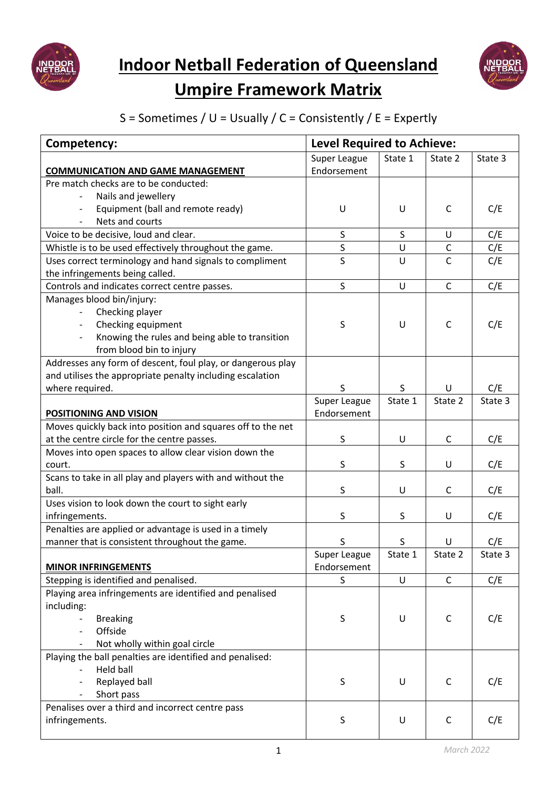



## **Umpire Framework Matrix**

## S = Sometimes /  $U = Usually / C =$  Consistently / E = Expertly

| Competency:                                                  | <b>Level Required to Achieve:</b> |         |              |         |
|--------------------------------------------------------------|-----------------------------------|---------|--------------|---------|
| <b>COMMUNICATION AND GAME MANAGEMENT</b>                     | Super League<br>Endorsement       | State 1 | State 2      | State 3 |
| Pre match checks are to be conducted:<br>Nails and jewellery |                                   |         |              |         |
| Equipment (ball and remote ready)<br>Nets and courts         | U                                 | U       | C            | C/E     |
| Voice to be decisive, loud and clear.                        | S                                 | $\sf S$ | U            | C/E     |
| Whistle is to be used effectively throughout the game.       | S                                 | $\cup$  | $\mathsf C$  | C/E     |
| Uses correct terminology and hand signals to compliment      | S                                 | U       | $\mathsf{C}$ | C/E     |
| the infringements being called.                              |                                   |         |              |         |
| Controls and indicates correct centre passes.                | S                                 | U       | $\mathsf C$  | C/E     |
| Manages blood bin/injury:                                    |                                   |         |              |         |
| Checking player                                              |                                   |         |              |         |
| Checking equipment                                           | S                                 | U       | C            | C/E     |
| Knowing the rules and being able to transition               |                                   |         |              |         |
| from blood bin to injury                                     |                                   |         |              |         |
| Addresses any form of descent, foul play, or dangerous play  |                                   |         |              |         |
| and utilises the appropriate penalty including escalation    |                                   |         |              |         |
| where required.                                              | S                                 | S       | U            | C/E     |
|                                                              | Super League                      | State 1 | State 2      | State 3 |
| <b>POSITIONING AND VISION</b>                                | Endorsement                       |         |              |         |
| Moves quickly back into position and squares off to the net  |                                   |         |              |         |
| at the centre circle for the centre passes.                  | S                                 | U       | C            | C/E     |
| Moves into open spaces to allow clear vision down the        |                                   |         |              |         |
| court.                                                       | S                                 | S       | U            | C/E     |
| Scans to take in all play and players with and without the   |                                   |         |              |         |
| ball.                                                        | S                                 | U       | C            | C/E     |
| Uses vision to look down the court to sight early            |                                   |         |              |         |
| infringements.                                               | S                                 | S       | U            | C/E     |
| Penalties are applied or advantage is used in a timely       |                                   |         |              |         |
| manner that is consistent throughout the game.               | S                                 | $\sf S$ | U            | C/E     |
| <b>MINOR INFRINGEMENTS</b>                                   | Super League<br>Endorsement       | State 1 | State 2      | State 3 |
| Stepping is identified and penalised.                        | S                                 | U       | $\mathsf C$  | C/E     |
| Playing area infringements are identified and penalised      |                                   |         |              |         |
| including:                                                   |                                   |         |              |         |
| <b>Breaking</b>                                              | S                                 | U       | C            | C/E     |
| Offside                                                      |                                   |         |              |         |
| Not wholly within goal circle                                |                                   |         |              |         |
| Playing the ball penalties are identified and penalised:     |                                   |         |              |         |
| <b>Held ball</b>                                             |                                   |         |              |         |
| Replayed ball                                                | S                                 | U       | $\mathsf C$  | C/E     |
| Short pass                                                   |                                   |         |              |         |
| Penalises over a third and incorrect centre pass             |                                   |         |              |         |
| infringements.                                               | S                                 | U       | C            | C/E     |
|                                                              |                                   |         |              |         |